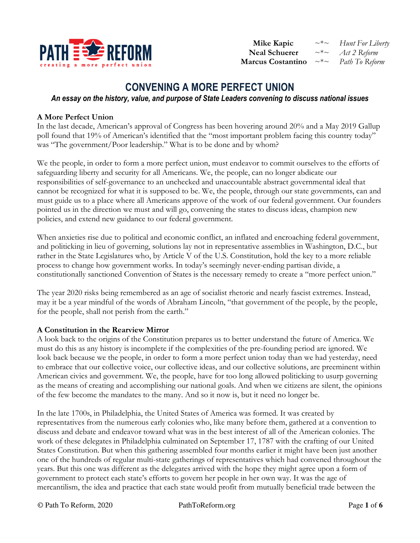

 **Mike Kapic** ~\*~ *Hunt For Liberty*  **Neal Schuerer** ~\*~ *Act 2 Reform* **Marcus Costantino** ~\*~ *Path To Reform*

# **CONVENING A MORE PERFECT UNION**

*An essay on the history, value, and purpose of State Leaders convening to discuss national issues* 

## **A More Perfect Union**

In the last decade, American's approval of Congress has been hovering around 20% and a May 2019 Gallup poll found that 19% of American's identified that the "most important problem facing this country today" was "The government/Poor leadership." What is to be done and by whom?

We the people, in order to form a more perfect union, must endeavor to commit ourselves to the efforts of safeguarding liberty and security for all Americans. We, the people, can no longer abdicate our responsibilities of self-governance to an unchecked and unaccountable abstract governmental ideal that cannot be recognized for what it is supposed to be. We, the people, through our state governments, can and must guide us to a place where all Americans approve of the work of our federal government. Our founders pointed us in the direction we must and will go, convening the states to discuss ideas, champion new policies, and extend new guidance to our federal government.

When anxieties rise due to political and economic conflict, an inflated and encroaching federal government, and politicking in lieu of governing, solutions lay not in representative assemblies in Washington, D.C., but rather in the State Legislatures who, by Article V of the U.S. Constitution, hold the key to a more reliable process to change how government works. In today's seemingly never-ending partisan divide, a constitutionally sanctioned Convention of States is the necessary remedy to create a "more perfect union."

The year 2020 risks being remembered as an age of socialist rhetoric and nearly fascist extremes. Instead, may it be a year mindful of the words of Abraham Lincoln, "that government of the people, by the people, for the people, shall not perish from the earth."

#### **A Constitution in the Rearview Mirror**

A look back to the origins of the Constitution prepares us to better understand the future of America. We must do this as any history is incomplete if the complexities of the pre-founding period are ignored. We look back because we the people, in order to form a more perfect union today than we had yesterday, need to embrace that our collective voice, our collective ideas, and our collective solutions, are preeminent within American civics and government. We, the people, have for too long allowed politicking to usurp governing as the means of creating and accomplishing our national goals. And when we citizens are silent, the opinions of the few become the mandates to the many. And so it now is, but it need no longer be.

In the late 1700s, in Philadelphia, the United States of America was formed. It was created by representatives from the numerous early colonies who, like many before them, gathered at a convention to discuss and debate and endeavor toward what was in the best interest of all of the American colonies. The work of these delegates in Philadelphia culminated on September 17, 1787 with the crafting of our United States Constitution. But when this gathering assembled four months earlier it might have been just another one of the hundreds of regular multi-state gatherings of representatives which had convened throughout the years. But this one was different as the delegates arrived with the hope they might agree upon a form of government to protect each state's efforts to govern her people in her own way. It was the age of mercantilism, the idea and practice that each state would profit from mutually beneficial trade between the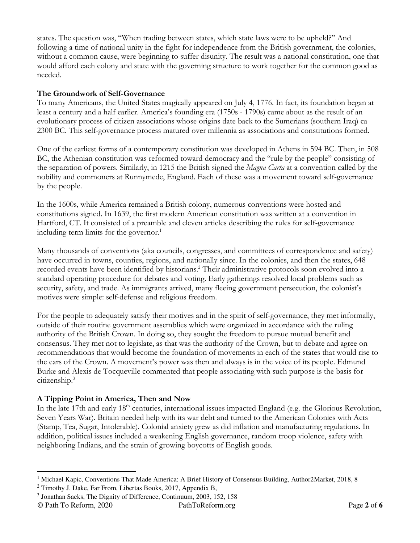states. The question was, "When trading between states, which state laws were to be upheld?" And following a time of national unity in the fight for independence from the British government, the colonies, without a common cause, were beginning to suffer disunity. The result was a national constitution, one that would afford each colony and state with the governing structure to work together for the common good as needed.

#### **The Groundwork of Self-Governance**

To many Americans, the United States magically appeared on July 4, 1776. In fact, its foundation began at least a century and a half earlier. America's founding era (1750s - 1790s) came about as the result of an evolutionary process of citizen associations whose origins date back to the Sumerians (southern Iraq) ca 2300 BC. This self-governance process matured over millennia as associations and constitutions formed.

One of the earliest forms of a contemporary constitution was developed in Athens in 594 BC. Then, in 508 BC, the Athenian constitution was reformed toward democracy and the "rule by the people" consisting of the separation of powers. Similarly, in 1215 the British signed the *Magna Carta* at a convention called by the nobility and commoners at Runnymede, England. Each of these was a movement toward self-governance by the people.

In the 1600s, while America remained a British colony, numerous conventions were hosted and constitutions signed. In 1639, the first modern American constitution was written at a convention in Hartford, CT. It consisted of a preamble and eleven articles describing the rules for self-governance including term limits for the governor.<sup>1</sup>

Many thousands of conventions (aka councils, congresses, and committees of correspondence and safety) have occurred in towns, counties, regions, and nationally since. In the colonies, and then the states, 648 recorded events have been identified by historians.<sup>2</sup> Their administrative protocols soon evolved into a standard operating procedure for debates and voting. Early gatherings resolved local problems such as security, safety, and trade. As immigrants arrived, many fleeing government persecution, the colonist's motives were simple: self-defense and religious freedom.

For the people to adequately satisfy their motives and in the spirit of self-governance, they met informally, outside of their routine government assemblies which were organized in accordance with the ruling authority of the British Crown. In doing so, they sought the freedom to pursue mutual benefit and consensus. They met not to legislate, as that was the authority of the Crown, but to debate and agree on recommendations that would become the foundation of movements in each of the states that would rise to the ears of the Crown. A movement's power was then and always is in the voice of its people. Edmund Burke and Alexis de Tocqueville commented that people associating with such purpose is the basis for citizenship.<sup>3</sup>

#### **A Tipping Point in America, Then and Now**

In the late 17th and early 18<sup>th</sup> centuries, international issues impacted England (e.g. the Glorious Revolution, Seven Years War). Britain needed help with its war debt and turned to the American Colonies with Acts (Stamp, Tea, Sugar, Intolerable). Colonial anxiety grew as did inflation and manufacturing regulations. In addition, political issues included a weakening English governance, random troop violence, safety with neighboring Indians, and the strain of growing boycotts of English goods.

-

<sup>&</sup>lt;sup>1</sup> Michael Kapic, Conventions That Made America: A Brief History of Consensus Building, Author2Market, 2018, 8

 $2$  Timothy J. Dake, Far From, Libertas Books, 2017, Appendix B,

<sup>3</sup> Jonathan Sacks, The Dignity of Difference, Continuum, 2003, 152, 158

<sup>©</sup> Path To Reform, 2020 PathToReform.org Page **2** of **6**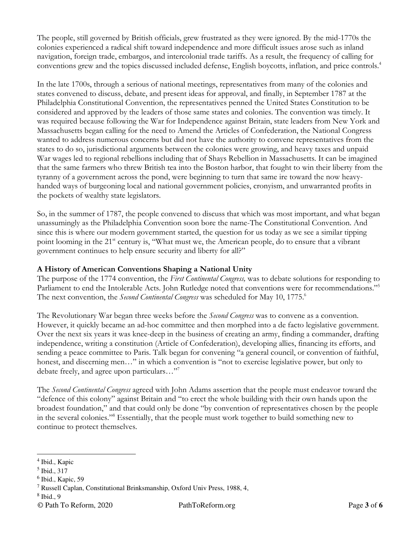The people, still governed by British officials, grew frustrated as they were ignored. By the mid-1770s the colonies experienced a radical shift toward independence and more difficult issues arose such as inland navigation, foreign trade, embargos, and intercolonial trade tariffs. As a result, the frequency of calling for conventions grew and the topics discussed included defense, English boycotts, inflation, and price controls.<sup>4</sup>

In the late 1700s, through a serious of national meetings, representatives from many of the colonies and states convened to discuss, debate, and present ideas for approval, and finally, in September 1787 at the Philadelphia Constitutional Convention, the representatives penned the United States Constitution to be considered and approved by the leaders of those same states and colonies. The convention was timely. It was required because following the War for Independence against Britain, state leaders from New York and Massachusetts began calling for the need to Amend the Articles of Confederation, the National Congress wanted to address numerous concerns but did not have the authority to convene representatives from the states to do so, jurisdictional arguments between the colonies were growing, and heavy taxes and unpaid War wages led to regional rebellions including that of Shays Rebellion in Massachusetts. It can be imagined that the same farmers who threw British tea into the Boston harbor, that fought to win their liberty from the tyranny of a government across the pond, were beginning to turn that same ire toward the now heavyhanded ways of burgeoning local and national government policies, cronyism, and unwarranted profits in the pockets of wealthy state legislators.

So, in the summer of 1787, the people convened to discuss that which was most important, and what began unassumingly as the Philadelphia Convention soon bore the name-The Constitutional Convention. And since this is where our modern government started, the question for us today as we see a similar tipping point looming in the 21<sup>st</sup> century is, "What must we, the American people, do to ensure that a vibrant government continues to help ensure security and liberty for all?"

# **A History of American Conventions Shaping a National Unity**

The purpose of the 1774 convention, the *First Continental Congress,* was to debate solutions for responding to Parliament to end the Intolerable Acts. John Rutledge noted that conventions were for recommendations."<sup>5</sup> The next convention, the *Second Continental Congress* was scheduled for May 10, 1775.<sup>6</sup>

The Revolutionary War began three weeks before the *Second Congress* was to convene as a convention. However, it quickly became an ad-hoc committee and then morphed into a de facto legislative government. Over the next six years it was knee-deep in the business of creating an army, finding a commander, drafting independence, writing a constitution (Article of Confederation), developing allies, financing its efforts, and sending a peace committee to Paris. Talk began for convening "a general council, or convention of faithful, honest, and discerning men..." in which a convention is "not to exercise legislative power, but only to debate freely, and agree upon particulars…"<sup>7</sup>

The *Second Continental Congress* agreed with John Adams assertion that the people must endeavor toward the "defence of this colony" against Britain and "to erect the whole building with their own hands upon the broadest foundation," and that could only be done "by convention of representatives chosen by the people in the several colonies."<sup>8</sup> Essentially, that the people must work together to build something new to continue to protect themselves.

<u>.</u>

<sup>4</sup> Ibid., Kapic

<sup>5</sup> Ibid., 317

<sup>6</sup> Ibid., Kapic, 59

<sup>7</sup> Russell Caplan, Constitutional Brinksmanship, Oxford Univ Press, 1988, 4,

<sup>8</sup> Ibid., 9

<sup>©</sup> Path To Reform, 2020 PathToReform.org Page **3** of **6**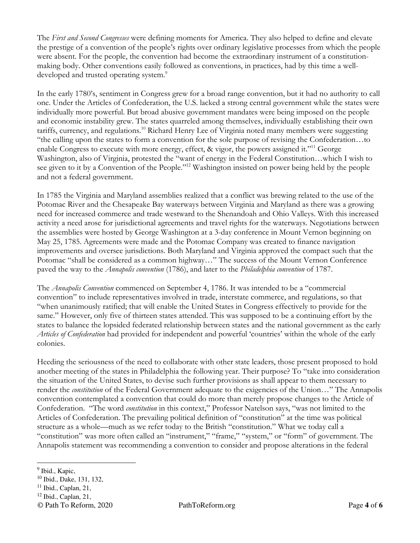The *First and Second Congresses* were defining moments for America. They also helped to define and elevate the prestige of a convention of the people's rights over ordinary legislative processes from which the people were absent. For the people, the convention had become the extraordinary instrument of a constitutionmaking body. Other conventions easily followed as conventions, in practices, had by this time a welldeveloped and trusted operating system.<sup>9</sup>

In the early 1780's, sentiment in Congress grew for a broad range convention, but it had no authority to call one. Under the Articles of Confederation, the U.S. lacked a strong central government while the states were individually more powerful. But broad abusive government mandates were being imposed on the people and economic instability grew. The states quarreled among themselves, individually establishing their own tariffs, currency, and regulations.<sup>10</sup> Richard Henry Lee of Virginia noted many members were suggesting "the calling upon the states to form a convention for the sole purpose of revising the Confederation…to enable Congress to execute with more energy, effect, & vigor, the powers assigned it."<sup>11</sup> George Washington, also of Virginia, protested the "want of energy in the Federal Constitution…which I wish to see given to it by a Convention of the People."<sup>12</sup> Washington insisted on power being held by the people and not a federal government.

In 1785 the Virginia and Maryland assemblies realized that a conflict was brewing related to the use of the Potomac River and the Chesapeake Bay waterways between Virginia and Maryland as there was a growing need for increased commerce and trade westward to the Shenandoah and Ohio Valleys. With this increased activity a need arose for jurisdictional agreements and travel rights for the waterways. Negotiations between the assemblies were hosted by George Washington at a 3-day conference in Mount Vernon beginning on May 25, 1785. Agreements were made and the Potomac Company was created to finance navigation improvements and oversee jurisdictions. Both Maryland and Virginia approved the compact such that the Potomac "shall be considered as a common highway…" The success of the Mount Vernon Conference paved the way to the *Annapolis convention* (1786), and later to the *Philadelphia convention* of 1787.

The *Annapolis Convention* commenced on September 4, 1786. It was intended to be a "commercial convention" to include representatives involved in trade, interstate commerce, and regulations, so that "when unanimously ratified; that will enable the United States in Congress effectively to provide for the same." However, only five of thirteen states attended. This was supposed to be a continuing effort by the states to balance the lopsided federated relationship between states and the national government as the early *Articles of Confederation* had provided for independent and powerful 'countries' within the whole of the early colonies.

Heeding the seriousness of the need to collaborate with other state leaders, those present proposed to hold another meeting of the states in Philadelphia the following year. Their purpose? To "take into consideration the situation of the United States, to devise such further provisions as shall appear to them necessary to render the *constitution* of the Federal Government adequate to the exigencies of the Union…" The Annapolis convention contemplated a convention that could do more than merely propose changes to the Article of Confederation. "The word *constitution* in this context," Professor Natelson says, "was not limited to the Articles of Confederation. The prevailing political definition of "constitution" at the time was political structure as a whole—much as we refer today to the British "constitution." What we today call a "constitution" was more often called an "instrument," "frame," "system," or "form" of government. The Annapolis statement was recommending a convention to consider and propose alterations in the federal

<u>.</u>

<sup>12</sup> Ibid., Caplan, 21,

<sup>&</sup>lt;sup>9</sup> Ibid., Kapic,

<sup>10</sup> Ibid., Dake, 131, 132,

 $11$  Ibid., Caplan, 21,

<sup>©</sup> Path To Reform, 2020 PathToReform.org Page **4** of **6**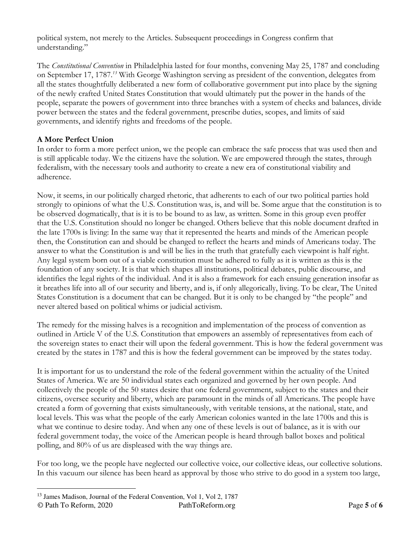political system, not merely to the Articles. Subsequent proceedings in Congress confirm that understanding."

The *Constitutional Convention* in Philadelphia lasted for four months, convening May 25, 1787 and concluding on September 17, 1787.*<sup>13</sup>* With George Washington serving as president of the convention, delegates from all the states thoughtfully deliberated a new form of collaborative government put into place by the signing of the newly crafted United States Constitution that would ultimately put the power in the hands of the people, separate the powers of government into three branches with a system of checks and balances, divide power between the states and the federal government, prescribe duties, scopes, and limits of said governments, and identify rights and freedoms of the people.

# **A More Perfect Union**

In order to form a more perfect union, we the people can embrace the safe process that was used then and is still applicable today. We the citizens have the solution. We are empowered through the states, through federalism, with the necessary tools and authority to create a new era of constitutional viability and adherence.

Now, it seems, in our politically charged rhetoric, that adherents to each of our two political parties hold strongly to opinions of what the U.S. Constitution was, is, and will be. Some argue that the constitution is to be observed dogmatically, that is it is to be bound to as law, as written. Some in this group even proffer that the U.S. Constitution should no longer be changed. Others believe that this noble document drafted in the late 1700s is living: In the same way that it represented the hearts and minds of the American people then, the Constitution can and should be changed to reflect the hearts and minds of Americans today. The answer to what the Constitution is and will be lies in the truth that gratefully each viewpoint is half right. Any legal system born out of a viable constitution must be adhered to fully as it is written as this is the foundation of any society. It is that which shapes all institutions, political debates, public discourse, and identifies the legal rights of the individual. And it is also a framework for each ensuing generation insofar as it breathes life into all of our security and liberty, and is, if only allegorically, living. To be clear, The United States Constitution is a document that can be changed. But it is only to be changed by "the people" and never altered based on political whims or judicial activism.

The remedy for the missing halves is a recognition and implementation of the process of convention as outlined in Article V of the U.S. Constitution that empowers an assembly of representatives from each of the sovereign states to enact their will upon the federal government. This is how the federal government was created by the states in 1787 and this is how the federal government can be improved by the states today.

It is important for us to understand the role of the federal government within the actuality of the United States of America. We are 50 individual states each organized and governed by her own people. And collectively the people of the 50 states desire that one federal government, subject to the states and their citizens, oversee security and liberty, which are paramount in the minds of all Americans. The people have created a form of governing that exists simultaneously, with veritable tensions, at the national, state, and local levels. This was what the people of the early American colonies wanted in the late 1700s and this is what we continue to desire today. And when any one of these levels is out of balance, as it is with our federal government today, the voice of the American people is heard through ballot boxes and political polling, and 80% of us are displeased with the way things are.

For too long, we the people have neglected our collective voice, our collective ideas, our collective solutions. In this vacuum our silence has been heard as approval by those who strive to do good in a system too large,

<u>.</u>

<sup>13</sup> James Madison, Journal of the Federal Convention, Vol 1, Vol 2, 1787

<sup>©</sup> Path To Reform, 2020 PathToReform.org Page **5** of **6**